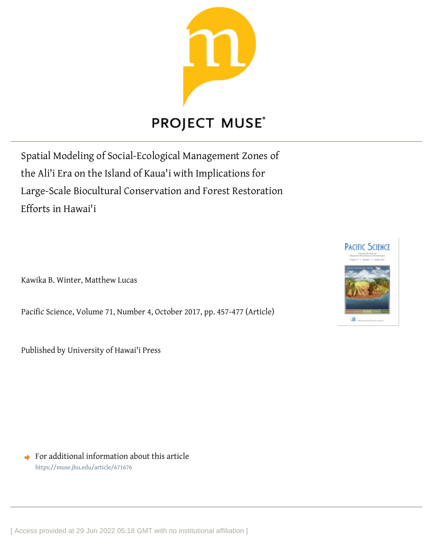

# **PROJECT MUSE®**

Spatial Modeling of Social-Ecological Management Zones of the Ali'i Era on the Island of Kaua'i with Implications for Large-Scale Biocultural Conservation and Forest Restoration Efforts in Hawai'i

Kawika B. Winter, Matthew Lucas

Pacific Science, Volume 71, Number 4, October 2017, pp. 457-477 (Article)

Published by University of Hawai'i Press



 $\rightarrow$  For additional information about this article <https://muse.jhu.edu/article/671676>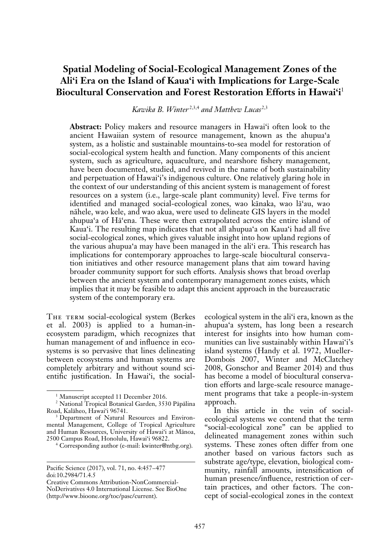# **Spatial Modeling of Social-Ecological Management Zones of the Ali'i Era on the Island of Kaua'i with Implications for Large-Scale Biocultural Conservation and Forest Restoration Efforts in Hawai'i**<sup>1</sup>

Kawika B. Winter<sup>2,3,4</sup> and Matthew Lucas<sup>2,3</sup>

**Abstract:** Policy makers and resource managers in Hawai'i often look to the ancient Hawaiian system of resource management, known as the ahupua'a system, as a holistic and sustainable mountains-to-sea model for restoration of social-ecological system health and function. Many components of this ancient system, such as agriculture, aquaculture, and nearshore fishery management, have been documented, studied, and revived in the name of both sustainability and perpetuation of Hawai'i's indigenous culture. One relatively glaring hole in the context of our understanding of this ancient system is management of forest resources on a system (i.e., large-scale plant community) level. Five terms for identified and managed social-ecological zones, wao känaka, wao lä'au, wao nähele, wao kele, and wao akua, were used to delineate GIS layers in the model ahupua'a of Hä'ena. These were then extrapolated across the entire island of Kaua'i. The resulting map indicates that not all ahupua'a on Kaua'i had all five social-ecological zones, which gives valuable insight into how upland regions of the various ahupua'a may have been managed in the ali'i era. This research has implications for contemporary approaches to large-scale biocultural conservation initiatives and other resource management plans that aim toward having broader community support for such efforts. Analysis shows that broad overlap between the ancient system and contemporary management zones exists, which implies that it may be feasible to adapt this ancient approach in the bureaucratic system of the contemporary era.

THE TERM social-ecological system (Berkes et al. 2003) is applied to a human-inecosystem paradigm, which recognizes that human management of and influence in ecosystems is so pervasive that lines delineating between ecosystems and human systems are completely arbitrary and without sound scientific justification. In Hawai'i, the social-

ecological system in the ali'i era, known as the ahupua'a system, has long been a research interest for insights into how human communities can live sustainably within Hawai'i's island systems (Handy et al. 1972, Mueller-Dombois 2007, Winter and McClatchey 2008, Gonschor and Beamer 2014) and thus has become a model of biocultural conservation efforts and large-scale resource management programs that take a people-in-system approach.

In this article in the vein of socialecological systems we contend that the term "social-ecological zone" can be applied to delineated management zones within such systems. These zones often differ from one another based on various factors such as substrate age/type, elevation, biological community, rainfall amounts, intensification of human presence/influence, restriction of certain practices, and other factors. The concept of social-ecological zones in the context

<sup>&</sup>lt;sup>1</sup> Manuscript accepted 11 December 2016.

<sup>2</sup> National Tropical Botanical Garden, 3530 Päpälina Road, Kaläheo, Hawai'i 96741.

<sup>3</sup> Department of Natural Resources and Environmental Management, College of Tropical Agriculture and Human Resources, University of Hawai'i at Mänoa, 2500 Campus Road, Honolulu, Hawai'i 96822.

<sup>4</sup> Corresponding author (e-mail: kwinter@ntbg.org).

Pacific Science (2017), vol. 71, no. 4:457–477 doi:10.2984/71.4.5

Creative Commons Attribution-NonCommercial-NoDerivatives 4.0 International License. See BioOne (http://www.bioone.org/toc/pasc/current).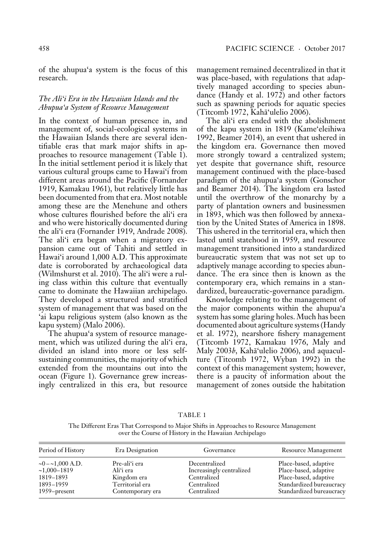of the ahupua'a system is the focus of this research.

# *The Ali'i Era in the Hawaiian Islands and the Ahupua'a System of Resource Management*

In the context of human presence in, and management of, social-ecological systems in the Hawaiian Islands there are several identifiable eras that mark major shifts in approaches to resource management (Table 1). In the initial settlement period it is likely that various cultural groups came to Hawai'i from different areas around the Pacific (Fornander 1919, Kamakau 1961), but relatively little has been documented from that era. Most notable among these are the Menehune and others whose cultures flourished before the ali'i era and who were historically documented during the ali'i era (Fornander 1919, Andrade 2008). The ali'i era began when a migratory expansion came out of Tahiti and settled in Hawai'i around 1,000 A.D. This approximate date is corroborated by archaeological data (Wilmshurst et al. 2010). The ali'i were a ruling class within this culture that eventually came to dominate the Hawaiian archipelago. They developed a structured and stratified system of management that was based on the 'ai kapu religious system (also known as the kapu system) (Malo 2006).

The ahupua'a system of resource management, which was utilized during the ali'i era, divided an island into more or less selfsustaining communities, the majority of which extended from the mountains out into the ocean (Figure 1). Governance grew increasingly centralized in this era, but resource management remained decentralized in that it was place-based, with regulations that adaptively managed according to species abundance (Handy et al. 1972) and other factors such as spawning periods for aquatic species (Titcomb 1972, Kahä'ulelio 2006).

The ali'i era ended with the abolishment of the kapu system in 1819 (Kame'eleihiwa 1992, Beamer 2014), an event that ushered in the kingdom era. Governance then moved more strongly toward a centralized system; yet despite that governance shift, resource management continued with the place-based paradigm of the ahupua'a system (Gonschor and Beamer 2014). The kingdom era lasted until the overthrow of the monarchy by a party of plantation owners and businessmen in 1893, which was then followed by annexation by the United States of America in 1898. This ushered in the territorial era, which then lasted until statehood in 1959, and resource management transitioned into a standardized bureaucratic system that was not set up to adaptively manage according to species abundance. The era since then is known as the contemporary era, which remains in a standardized, bureaucratic-governance paradigm.

Knowledge relating to the management of the major components within the ahupua'a system has some glaring holes. Much has been documented about agriculture systems (Handy et al. 1972), nearshore fishery management (Titcomb 1972, Kamakau 1976, Maly and Maly 2003*b*, Kahä'ulelio 2006), and aquaculture (Titcomb 1972, Wyban 1992) in the context of this management system; however, there is a paucity of information about the management of zones outside the habitation

The Different Eras That Correspond to Major Shifts in Approaches to Resource Management over the Course of History in the Hawaiian Archipelago

TABLE 1

| Period of History     | Era Designation  | Governance               | Resource Management      |
|-----------------------|------------------|--------------------------|--------------------------|
| $\sim 0 - 1,000$ A.D. | Pre-aliʻi era    | Decentralized            | Place-based, adaptive    |
| $~1,000-1819$         | Ali'i era        | Increasingly centralized | Place-based, adaptive    |
| 1819-1893             | Kingdom era      | Centralized              | Place-based, adaptive    |
| 1893–1959             | Territorial era  | Centralized              | Standardized bureaucracy |
| $1959$ -present       | Contemporary era | Centralized              | Standardized bureaucracy |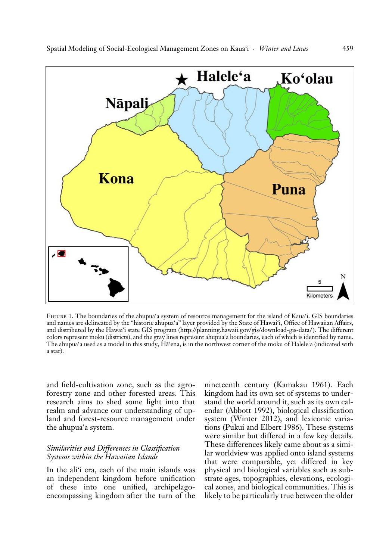

Figure 1. The boundaries of the ahupua'a system of resource management for the island of Kaua'i. GIS boundaries and names are delineated by the "historic ahupua'a" layer provided by the State of Hawai'i, Office of Hawaiian Affairs, and distributed by the Hawai'i state GIS program (http://planning.hawaii.gov/gis/download-gis-data/ ). The different colors represent moku (districts), and the gray lines represent ahupua'a boundaries, each of which is identified by name. The ahupua'a used as a model in this study, Hä'ena, is in the northwest corner of the moku of Halele'a (indicated with a star).

and field-cultivation zone, such as the agroforestry zone and other forested areas. This research aims to shed some light into that realm and advance our understanding of upland and forest-resource management under the ahupua'a system.

# *Similarities and Differences in Classification Systems within the Hawaiian Islands*

In the ali'i era, each of the main islands was an independent kingdom before unification of these into one unified, archipelagoencompassing kingdom after the turn of the nineteenth century (Kamakau 1961). Each kingdom had its own set of systems to understand the world around it, such as its own calendar (Abbott 1992), biological classification system (Winter 2012), and lexiconic variations (Pukui and Elbert 1986). These systems were similar but differed in a few key details. These differences likely came about as a similar worldview was applied onto island systems that were comparable, yet differed in key physical and biological variables such as substrate ages, topographies, elevations, ecological zones, and biological communities. This is likely to be particularly true between the older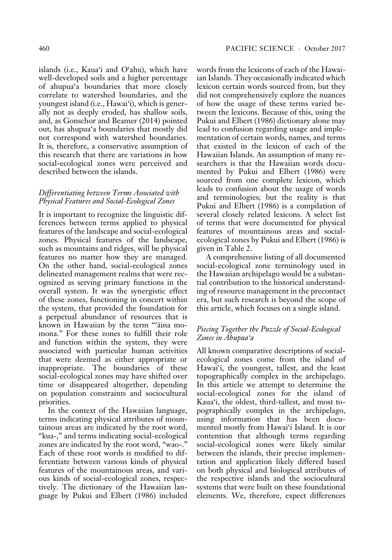islands (i.e., Kaua'i and O'ahu), which have well-developed soils and a higher percentage of ahupua'a boundaries that more closely correlate to watershed boundaries, and the youngest island (i.e., Hawai'i), which is generally not as deeply eroded, has shallow soils, and, as Gonschor and Beamer (2014) pointed out, has ahupua'a boundaries that mostly did not correspond with watershed boundaries. It is, therefore, a conservative assumption of this research that there are variations in how social-ecological zones were perceived and described between the islands.

## *Differentiating between Terms Associated with Physical Features and Social-Ecological Zones*

It is important to recognize the linguistic differences between terms applied to physical features of the landscape and social-ecological zones. Physical features of the landscape, such as mountains and ridges, will be physical features no matter how they are managed. On the other hand, social-ecological zones delineated management realms that were recognized as serving primary functions in the overall system. It was the synergistic effect of these zones, functioning in concert within the system, that provided the foundation for a perpetual abundance of resources that is known in Hawaiian by the term "'äina momona." For these zones to fulfill their role and function within the system, they were associated with particular human activities that were deemed as either appropriate or inappropriate. The boundaries of these social-ecological zones may have shifted over time or disappeared altogether, depending on population constraints and sociocultural priorities.

In the context of the Hawaiian language, terms indicating physical attributes of mountainous areas are indicated by the root word, "kua-," and terms indicating social-ecological zones are indicated by the root word, "wao-." Each of these root words is modified to differentiate between various kinds of physical features of the mountainous areas, and various kinds of social-ecological zones, respectively. The dictionary of the Hawaiian language by Pukui and Elbert (1986) included words from the lexicons of each of the Hawaiian Islands. They occasionally indicated which lexicon certain words sourced from, but they did not comprehensively explore the nuances of how the usage of these terms varied between the lexicons. Because of this, using the Pukui and Elbert (1986) dictionary alone may lead to confusion regarding usage and implementation of certain words, names, and terms that existed in the lexicon of each of the Hawaiian Islands. An assumption of many researchers is that the Hawaiian words documented by Pukui and Elbert (1986) were sourced from one complete lexicon, which leads to confusion about the usage of words and terminologies; but the reality is that Pukui and Elbert (1986) is a compilation of several closely related lexicons. A select list of terms that were documented for physical features of mountainous areas and socialecological zones by Pukui and Elbert (1986) is given in Table 2.

A comprehensive listing of all documented social-ecological zone terminology used in the Hawaiian archipelago would be a substantial contribution to the historical understanding of resource management in the precontact era, but such research is beyond the scope of this article, which focuses on a single island.

# *Piecing Together the Puzzle of Social-Ecological Zones in Ahupua'a*

All known comparative descriptions of socialecological zones come from the island of Hawai'i, the youngest, tallest, and the least topographically complex in the archipelago. In this article we attempt to determine the social-ecological zones for the island of Kaua'i, the oldest, third-tallest, and most topographically complex in the archipelago, using information that has been documented mostly from Hawai'i Island. It is our contention that although terms regarding social-ecological zones were likely similar between the islands, their precise implementation and application likely differed based on both physical and biological attributes of the respective islands and the sociocultural systems that were built on these foundational elements. We, therefore, expect differences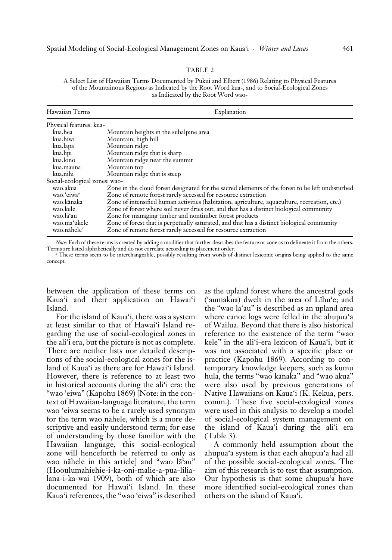A Select List of Hawaiian Terms Documented by Pukui and Elbert (1986) Relating to Physical Features of the Mountainous Regions as Indicated by the Root Word kua-, and to Social-Ecological Zones as Indicated by the Root Word wao-

| Hawaiian Terms                | Explanation                                                                                      |
|-------------------------------|--------------------------------------------------------------------------------------------------|
| Physical features: kua-       |                                                                                                  |
| kua.hea                       | Mountain heights in the subalpine area                                                           |
| kua.hiwi                      | Mountain, high hill                                                                              |
| kua.lapa                      | Mountain ridge                                                                                   |
| kua.lipi                      | Mountain ridge that is sharp                                                                     |
| kua.lono                      | Mountain ridge near the summit                                                                   |
| kua.mauna                     | Mountain top                                                                                     |
| kua.nihi                      | Mountain ridge that is steep                                                                     |
| Social-ecological zones: wao- |                                                                                                  |
| wao.akua                      | Zone in the cloud forest designated for the sacred elements of the forest to be left undisturbed |
| wao.'eiwa"                    | Zone of remote forest rarely accessed for resource extraction                                    |
| wao.kānaka                    | Zone of intensified human activities (habitation, agriculture, aquaculture, recreation, etc.)    |
| wao.kele                      | Zone of forest where soil never dries out, and that has a distinct biological community          |
| wao.lā'au                     | Zone for managing timber and nontimber forest products                                           |
| wao.ma'ūkele                  | Zone of forest that is perpetually saturated, and that has a distinct biological community       |
| wao.nāhele <sup>a</sup>       | Zone of remote forest rarely accessed for resource extraction                                    |

*Note:* Each of these terms is created by adding a modifier that further describes the feature or zone as to delineate it from the others. Terms are listed alphabetically and do not correlate according to placement order.

*a* These terms seem to be interchangeable, possibly resulting from words of distinct lexiconic origins being applied to the same concept.

between the application of these terms on Kaua'i and their application on Hawai'i Island.

For the island of Kaua'i, there was a system at least similar to that of Hawai'i Island regarding the use of social-ecological zones in the ali'i era, but the picture is not as complete. There are neither lists nor detailed descriptions of the social-ecological zones for the island of Kaua'i as there are for Hawai'i Island. However, there is reference to at least two in historical accounts during the ali'i era: the "wao 'eiwa" (Kapohu 1869) [Note: in the context of Hawaiian-language literature, the term wao 'eiwa seems to be a rarely used synonym for the term wao nähele, which is a more descriptive and easily understood term; for ease of understanding by those familiar with the Hawaiian language, this social-ecological zone will henceforth be referred to only as wao nähele in this article] and "wao lä'au" (Hooulumahiehie-i-ka-oni-malie-a-pua-lilialana-i-ka-wai 1909), both of which are also documented for Hawai'i Island. In these Kaua'i references, the "wao 'eiwa" is described as the upland forest where the ancestral gods ('aumakua) dwelt in the area of Lïhu'e; and the "wao lä'au" is described as an upland area where canoe logs were felled in the ahupua'a of Wailua. Beyond that there is also historical reference to the existence of the term "wao kele" in the ali'i-era lexicon of Kaua'i, but it was not associated with a specific place or practice (Kapohu 1869). According to contemporary knowledge keepers, such as kumu hula, the terms "wao känaka" and "wao akua" were also used by previous generations of Native Hawaiians on Kaua'i (K. Kekua, pers. comm.). These five social-ecological zones were used in this analysis to develop a model of social-ecological system management on the island of Kaua'i during the ali'i era (Table 3).

A commonly held assumption about the ahupua'a system is that each ahupua'a had all of the possible social-ecological zones. The aim of this research is to test that assumption. Our hypothesis is that some ahupua'a have more identified social-ecological zones than others on the island of Kaua'i.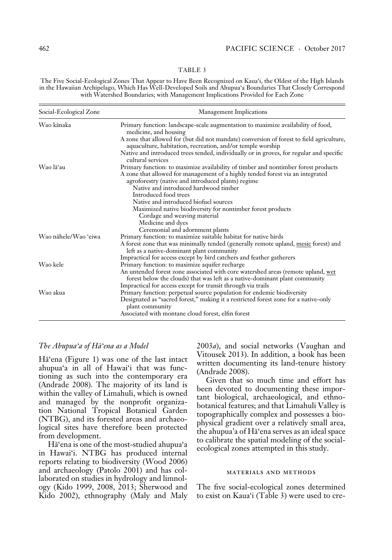The Five Social-Ecological Zones That Appear to Have Been Recognized on Kaua'i, the Oldest of the High Islands in the Hawaiian Archipelago, Which Has Well-Developed Soils and Ahupua'a Boundaries That Closely Correspond with Watershed Boundaries; with Management Implications Provided for Each Zone

| Social-Ecological Zone | Management Implications                                                                                                                                              |
|------------------------|----------------------------------------------------------------------------------------------------------------------------------------------------------------------|
| Wao kānaka             | Primary function: landscape-scale augmentation to maximize availability of food,<br>medicine, and housing                                                            |
|                        | A zone that allowed for (but did not mandate) conversion of forest to field agriculture,<br>aquaculture, habitation, recreation, and/or temple worship               |
|                        | Native and introduced trees tended, individually or in groves, for regular and specific<br>cultural services                                                         |
| Wao lā'au              | Primary function: to maximize availability of timber and nontimber forest products<br>A zone that allowed for management of a highly tended forest via an integrated |
|                        | agroforestry (native and introduced plants) regime                                                                                                                   |
|                        | Native and introduced hardwood timber                                                                                                                                |
|                        | Introduced food trees                                                                                                                                                |
|                        | Native and introduced biofuel sources                                                                                                                                |
|                        | Maximized native biodiversity for nontimber forest products                                                                                                          |
|                        | Cordage and weaving material                                                                                                                                         |
|                        | Medicine and dyes                                                                                                                                                    |
|                        | Ceremonial and adornment plants                                                                                                                                      |
| Wao nāhele/Wao 'eiwa   | Primary function: to maximize suitable habitat for native birds                                                                                                      |
|                        | A forest zone that was minimally tended (generally remote upland, mesic forest) and<br>left as a native-dominant plant community                                     |
|                        | Impractical for access except by bird catchers and feather gatherers                                                                                                 |
| Wao kele               | Primary function: to maximize aquifer recharge                                                                                                                       |
|                        | An untended forest zone associated with core watershed areas (remote upland, wet<br>forest below the clouds) that was left as a native-dominant plant community      |
|                        | Impractical for access except for transit through via trails                                                                                                         |
| Wao akua               | Primary function: perpetual source population for endemic biodiversity                                                                                               |
|                        | Designated as "sacred forest," making it a restricted forest zone for a native-only<br>plant community                                                               |
|                        | Associated with montane cloud forest, elfin forest                                                                                                                   |

#### *The Ahupua'a of Hä'ena as a Model*

Hä'ena (Figure 1) was one of the last intact ahupua'a in all of Hawai'i that was functioning as such into the contemporary era (Andrade 2008). The majority of its land is within the valley of Limahuli, which is owned and managed by the nonprofit organization National Tropical Botanical Garden (NTBG), and its forested areas and archaeological sites have therefore been protected from development.

Hä'ena is one of the most-studied ahupua'a in Hawai'i. NTBG has produced internal reports relating to biodiversity (Wood 2006) and archaeology (Patolo 2001) and has collaborated on studies in hydrology and limnology (Kido 1999, 2008, 2013; Sherwood and Kido 2002), ethnography (Maly and Maly 2003*a*), and social networks (Vaughan and Vitousek 2013). In addition, a book has been written documenting its land-tenure history (Andrade 2008).

Given that so much time and effort has been devoted to documenting these important biological, archaeological, and ethnobotanical features; and that Limahuli Valley is topographically complex and possesses a biophysical gradient over a relatively small area, the ahupua'a of Hä'ena serves as an ideal space to calibrate the spatial modeling of the socialecological zones attempted in this study.

#### materials and methods

The five social-ecological zones determined to exist on Kaua'i (Table 3) were used to cre-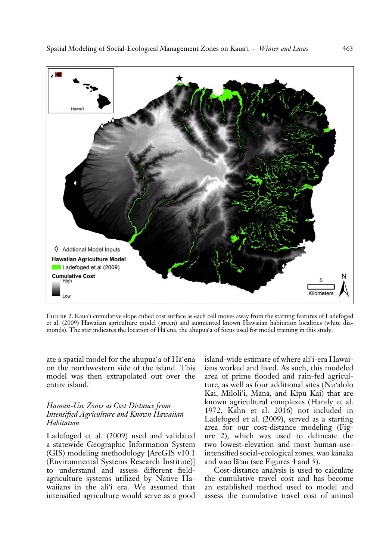

Figure 2. Kaua'i cumulative slope cubed cost surface as each cell moves away from the starting features of Ladefoged et al. (2009) Hawaiian agriculture model (green) and augmented known Hawaiian habitation localities (white diamonds). The star indicates the location of Hä'ena, the ahupua'a of focus used for model training in this study.

ate a spatial model for the ahupua'a of Hä'ena on the northwestern side of the island. This model was then extrapolated out over the entire island.

# *Human-Use Zones as Cost Distance from Intensified Agriculture and Known Hawaiian Habitation*

Ladefoged et al. (2009) used and validated a statewide Geographic Information System (GIS) modeling methodology [ArcGIS v10.1 (Environmental Systems Research Institute)] to understand and assess different fieldagriculture systems utilized by Native Hawaiians in the ali'i era. We assumed that intensified agriculture would serve as a good island-wide estimate of where ali'i-era Hawaiians worked and lived. As such, this modeled area of prime flooded and rain-fed agriculture, as well as four additional sites (Nu'alolo Kai, Miloli'i, Mänä, and Kïpü Kai) that are known agricultural complexes (Handy et al. 1972, Kahn et al. 2016) not included in Ladefoged et al. (2009), served as a starting area for our cost-distance modeling (Figure 2), which was used to delineate the two lowest-elevation and most human-useintensified social-ecological zones, wao känaka and wao lä'au (see Figures 4 and 5).

Cost-distance analysis is used to calculate the cumulative travel cost and has become an established method used to model and assess the cumulative travel cost of animal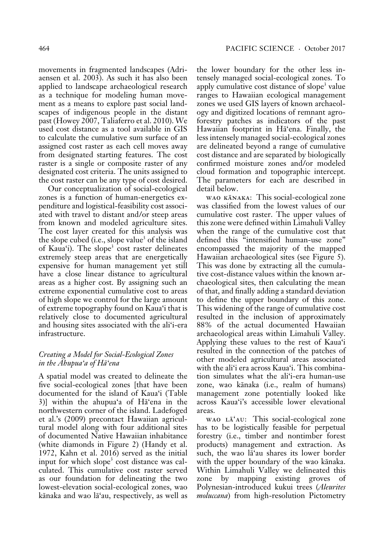movements in fragmented landscapes (Adriaensen et al. 2003). As such it has also been applied to landscape archaeological research as a technique for modeling human movement as a means to explore past social landscapes of indigenous people in the distant past (Howey 2007, Taliaferro et al. 2010). We used cost distance as a tool available in GIS to calculate the cumulative sum surface of an assigned cost raster as each cell moves away from designated starting features. The cost raster is a single or composite raster of any designated cost criteria. The units assigned to the cost raster can be any type of cost desired.

Our conceptualization of social-ecological zones is a function of human-energetics expenditure and logistical-feasibility cost associated with travel to distant and/or steep areas from known and modeled agriculture sites. The cost layer created for this analysis was the slope cubed (i.e., slope value<sup>3</sup> of the island of Kaua'i). The slope<sup>3</sup> cost raster delineates extremely steep areas that are energetically expensive for human management yet still have a close linear distance to agricultural areas as a higher cost. By assigning such an extreme exponential cumulative cost to areas of high slope we control for the large amount of extreme topography found on Kaua'i that is relatively close to documented agricultural and housing sites associated with the ali'i-era infrastructure.

# *Creating a Model for Social-Ecological Zones in the Ahupua'a of Hä'ena*

A spatial model was created to delineate the five social-ecological zones [that have been documented for the island of Kaua'i (Table 3)] within the ahupua'a of Hä'ena in the northwestern corner of the island. Ladefoged et al.'s (2009) precontact Hawaiian agricultural model along with four additional sites of documented Native Hawaiian inhabitance (white diamonds in Figure 2) (Handy et al. 1972, Kahn et al. 2016) served as the initial input for which slope<sup>3</sup> cost distance was calculated. This cumulative cost raster served as our foundation for delineating the two lowest-elevation social-ecological zones, wao känaka and wao lä'au, respectively, as well as the lower boundary for the other less intensely managed social-ecological zones. To apply cumulative cost distance of slope<sup>3</sup> value ranges to Hawaiian ecological management zones we used GIS layers of known archaeology and digitized locations of remnant agroforestry patches as indicators of the past Hawaiian footprint in Hä'ena. Finally, the less intensely managed social-ecological zones are delineated beyond a range of cumulative cost distance and are separated by biologically confirmed moisture zones and/or modeled cloud formation and topographic intercept. The parameters for each are described in detail below.

wao känaka: This social-ecological zone was classified from the lowest values of our cumulative cost raster. The upper values of this zone were defined within Limahuli Valley when the range of the cumulative cost that defined this "intensified human-use zone" encompassed the majority of the mapped Hawaiian archaeological sites (see Figure 5). This was done by extracting all the cumulative cost-distance values within the known archaeological sites, then calculating the mean of that, and finally adding a standard deviation to define the upper boundary of this zone. This widening of the range of cumulative cost resulted in the inclusion of approximately 88% of the actual documented Hawaiian archaeological areas within Limahuli Valley. Applying these values to the rest of Kaua'i resulted in the connection of the patches of other modeled agricultural areas associated with the ali'i era across Kaua'i. This combination simulates what the ali'i-era human-use zone, wao känaka (i.e., realm of humans) management zone potentially looked like across Kaua'i's accessible lower elevational areas.

wao Lā'au: This social-ecological zone has to be logistically feasible for perpetual forestry (i.e., timber and nontimber forest products) management and extraction. As such, the wao lä'au shares its lower border with the upper boundary of the wao känaka. Within Limahuli Valley we delineated this zone by mapping existing groves of Polynesian-introduced kukui trees (*Aleurites moluccana*) from high-resolution Pictometry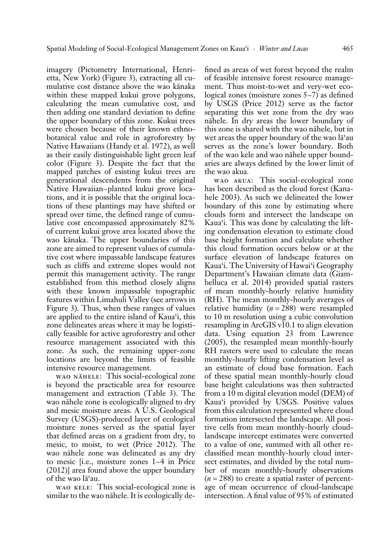imagery (Pictometry International, Henrietta, New York) (Figure 3), extracting all cumulative cost distance above the wao känaka within these mapped kukui grove polygons, calculating the mean cumulative cost, and then adding one standard deviation to define the upper boundary of this zone. Kukui trees were chosen because of their known ethnobotanical value and role in agroforestry by Native Hawaiians (Handy et al. 1972), as well as their easily distinguishable light green leaf color (Figure 3). Despite the fact that the mapped patches of existing kukui trees are generational descendents from the original Native Hawaiian–planted kukui grove locations, and it is possible that the original locations of these plantings may have shifted or spread over time, the defined range of cumulative cost encompassed approximately 82% of current kukui grove area located above the wao känaka. The upper boundaries of this zone are aimed to represent values of cumulative cost where impassable landscape features such as cliffs and extreme slopes would not permit this management activity. The range established from this method closely aligns with these known impassable topographic features within Limahuli Valley (see arrows in Figure 3). Thus, when these ranges of values are applied to the entire island of Kaua'i, this zone delineates areas where it may be logistically feasible for active agroforestry and other resource management associated with this zone. As such, the remaining upper-zone locations are beyond the limits of feasible intensive resource management.

WAO NĀHELE: This social-ecological zone is beyond the practicable area for resource management and extraction (Table 3). The wao nähele zone is ecologically aligned to dry and mesic moisture areas. A U.S. Geological Survey (USGS)-produced layer of ecological moisture zones served as the spatial layer that defined areas on a gradient from dry, to mesic, to moist, to wet (Price 2012). The wao nähele zone was delineated as any dry to mesic [i.e., moisture zones 1–4 in Price (2012)] area found above the upper boundary of the wao lä'au.

wao kele: This social-ecological zone is similar to the wao nähele. It is ecologically de-

fined as areas of wet forest beyond the realm of feasible intensive forest resource management. Thus moist-to-wet and very-wet ecological zones (moisture zones 5–7) as defined by USGS (Price 2012) serve as the factor separating this wet zone from the dry wao nähele. In dry areas the lower boundary of this zone is shared with the wao nähele, but in wet areas the upper boundary of the wao lä'au serves as the zone's lower boundary. Both of the wao kele and wao nähele upper boundaries are always defined by the lower limit of the wao akua*.*

wao akua: This social-ecological zone has been described as the cloud forest (Kanahele 2003). As such we delineated the lower boundary of this zone by estimating where clouds form and intersect the landscape on Kaua'i. This was done by calculating the lifting condensation elevation to estimate cloud base height formation and calculate whether this cloud formation occurs below or at the surface elevation of landscape features on Kaua'i. The University of Hawai'i Geography Department's Hawaiian climate data (Giambelluca et al. 2014) provided spatial rasters of mean monthly-hourly relative humidity (RH). The mean monthly-hourly averages of relative humidity (*n* = 288) were resampled to 10 m resolution using a cubic convolution resampling in ArcGIS v10.1 to align elevation data. Using equation 23 from Lawrence (2005), the resampled mean monthly-hourly RH rasters were used to calculate the mean monthly-hourly lifting condensation level as an estimate of cloud base formation. Each of these spatial mean monthly-hourly cloud base height calculations was then subtracted from a 10 m digital elevation model (DEM) of Kaua'i provided by USGS. Positive values from this calculation represented where cloud formation intersected the landscape. All positive cells from mean monthly-hourly cloudlandscape intercept estimates were converted to a value of one, summed with all other reclassified mean monthly-hourly cloud intersect estimates, and divided by the total number of mean monthly-hourly observations  $(n = 288)$  to create a spatial raster of percentage of mean occurrence of cloud-landscape intersection. A final value of 95% of estimated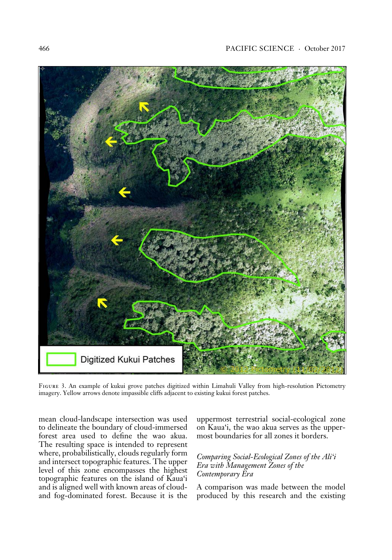

Figure 3. An example of kukui grove patches digitized within Limahuli Valley from high-resolution Pictometry imagery. Yellow arrows denote impassible cliffs adjacent to existing kukui forest patches.

mean cloud-landscape intersection was used to delineate the boundary of cloud-immersed forest area used to define the wao akua. The resulting space is intended to represent where, probabilistically, clouds regularly form and intersect topographic features. The upper level of this zone encompasses the highest topographic features on the island of Kaua'i and is aligned well with known areas of cloudand fog-dominated forest. Because it is the

uppermost terrestrial social-ecological zone on Kaua'i, the wao akua serves as the uppermost boundaries for all zones it borders.

*Comparing Social-Ecological Zones of the Ali'i Era with Management Zones of the Contemporary Era*

A comparison was made between the model produced by this research and the existing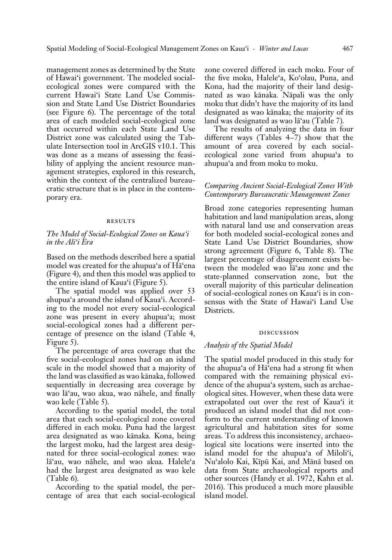management zones as determined by the State of Hawai'i government. The modeled socialecological zones were compared with the current Hawai'i State Land Use Commission and State Land Use District Boundaries (see Figure 6). The percentage of the total area of each modeled social-ecological zone that occurred within each State Land Use District zone was calculated using the Tabulate Intersection tool in ArcGIS v10.1. This was done as a means of assessing the feasibility of applying the ancient resource management strategies, explored in this research, within the context of the centralized bureaucratic structure that is in place in the contemporary era.

#### **RESULTS**

#### *The Model of Social-Ecological Zones on Kaua'i in the Ali'i Era*

Based on the methods described here a spatial model was created for the ahupua'a of Hä'ena (Figure 4), and then this model was applied to the entire island of Kaua'i (Figure 5).

The spatial model was applied over 53 ahupua'a around the island of Kaua'i. According to the model not every social-ecological zone was present in every ahupua'a; most social-ecological zones had a different percentage of presence on the island (Table 4, Figure 5).

The percentage of area coverage that the five social-ecological zones had on an island scale in the model showed that a majority of the land was classified as wao känaka, followed sequentially in decreasing area coverage by wao lä'au, wao akua, wao nähele, and finally wao kele (Table 5).

According to the spatial model, the total area that each social-ecological zone covered differed in each moku. Puna had the largest area designated as wao känaka*.* Kona, being the largest moku, had the largest area designated for three social-ecological zones: wao lä'au, wao nähele, and wao akua*.* Halele'a had the largest area designated as wao kele (Table 6)*.*

According to the spatial model, the percentage of area that each social-ecological zone covered differed in each moku. Four of the five moku, Halele'a, Ko'olau, Puna, and Kona, had the majority of their land designated as wao känaka*.* Näpali was the only moku that didn't have the majority of its land designated as wao känaka; the majority of its land was designated as wao lä'au (Table 7)*.*

The results of analyzing the data in four different ways (Tables 4–7) show that the amount of area covered by each socialecological zone varied from ahupua'a to ahupua'a and from moku to moku.

### *Comparing Ancient Social-Ecological Zones With Contemporary Bureaucratic Management Zones*

Broad zone categories representing human habitation and land manipulation areas, along with natural land use and conservation areas for both modeled social-ecological zones and State Land Use District Boundaries, show strong agreement (Figure 6, Table 8). The largest percentage of disagreement exists between the modeled wao lä'au zone and the state-planned conservation zone, but the overall majority of this particular delineation of social-ecological zones on Kaua'i is in consensus with the State of Hawai'i Land Use Districts.

### discussion

#### *Analysis of the Spatial Model*

The spatial model produced in this study for the ahupua'a of Hä'ena had a strong fit when compared with the remaining physical evidence of the ahupua'a system, such as archaeological sites. However, when these data were extrapolated out over the rest of Kaua'i it produced an island model that did not conform to the current understanding of known agricultural and habitation sites for some areas. To address this inconsistency, archaeological site locations were inserted into the island model for the ahupua'a of Miloli'i, Nu'alolo Kai, Kïpü Kai, and Mänä based on data from State archaeological reports and other sources (Handy et al. 1972, Kahn et al. 2016). This produced a much more plausible island model.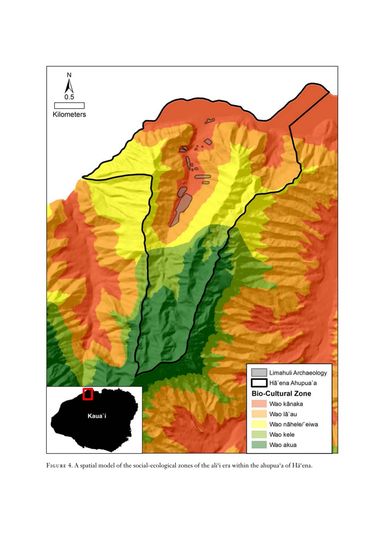

Figure 4. A spatial model of the social-ecological zones of the ali'i era within the ahupua'a of Hä'ena.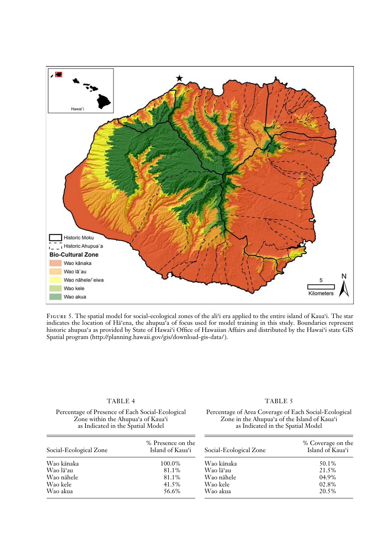

Figure 5. The spatial model for social-ecological zones of the ali'i era applied to the entire island of Kaua'i. The star indicates the location of Hä'ena, the ahupua'a of focus used for model training in this study. Boundaries represent historic ahupua'a as provided by State of Hawai'i Office of Hawaiian Affairs and distributed by the Hawai'i state GIS Spatial program (http://planning.hawaii.gov/gis/download-gis-data/ ).

#### Percentage of Presence of Each Social-Ecological Zone within the Ahupua'a of Kaua'i as Indicated in the Spatial Model

#### TABLE 5

#### Percentage of Area Coverage of Each Social-Ecological Zone in the Ahupua'a of the Island of Kaua'i as Indicated in the Spatial Model

| Social-Ecological Zone | % Presence on the<br>Island of Kaua'i | Social-Ecological Zone | % Coverage on the<br>Island of Kaua'i |
|------------------------|---------------------------------------|------------------------|---------------------------------------|
| Wao kānaka             | 100.0%                                | Wao kānaka             | 50.1%                                 |
| Wao lāʻau              | 81.1%                                 | Wao lā'au              | 21.5%                                 |
| Wao nāhele             | 81.1%                                 | Wao nāhele             | 04.9%                                 |
| Wao kele               | 41.5%                                 | Wao kele               | 02.8%                                 |
| Wao akua               | 56.6%                                 | Wao akua               | 20.5%                                 |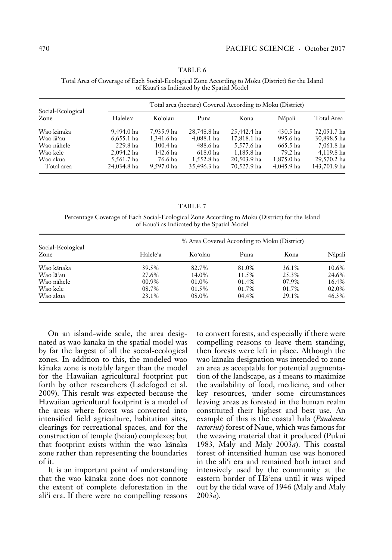| Total Area of Coverage of Each Social-Ecological Zone According to Moku (District) for the Island<br>of Kaua'i as Indicated by the Spatial Model |                                                           |  |  |
|--------------------------------------------------------------------------------------------------------------------------------------------------|-----------------------------------------------------------|--|--|
| $1 \nabla 1$ $1 \nabla 1$                                                                                                                        | Total area (hectare) Covered According to Moku (District) |  |  |

| Social-Ecological<br>Zone | I otal area (nectare) Covered According to Moku (District) |            |             |             |            |              |
|---------------------------|------------------------------------------------------------|------------|-------------|-------------|------------|--------------|
|                           | Halele'a                                                   | Koʻolau    | Puna        | Kona        | Nāpali     | Total Area   |
| Wao kānaka                | 9.494.0 ha                                                 | 7.935.9 ha | 28,748.8 ha | 25,442.4 ha | 430.5 ha   | 72,051.7 ha  |
| Wao lāʻau                 | $6.655.1$ ha                                               | 1.341.6 ha | 4,088.1 ha  | 17.818.1 ha | 995.6 ha   | 30.898.5 ha  |
| Wao nāhele                | 229.8 ha                                                   | 100.4 ha   | 488.6 ha    | 5,577.6 ha  | 665.5 ha   | 7.061.8 ha   |
| Wao kele                  | 2.094.2 ha                                                 | 142.6 ha   | 618.0 ha    | 1.185.8 ha  | 79.2 ha    | 4.119.8 ha   |
| Wao akua                  | 5,561.7 ha                                                 | 76.6 ha    | 1,552.8 ha  | 20,503.9 ha | 1,875.0 ha | 29,570.2 ha  |
| Total area                | 24,034.8 ha                                                | 9,597.0 ha | 35,496.3 ha | 70,527.9 ha | 4,045.9 ha | 143,701.9 ha |

TABLE 7

Percentage Coverage of Each Social-Ecological Zone According to Moku (District) for the Island of Kaua'i as Indicated by the Spatial Model

|                           |          |         | % Area Covered According to Moku (District) |       |        |
|---------------------------|----------|---------|---------------------------------------------|-------|--------|
| Social-Ecological<br>Zone | Halele'a | Koʻolau | Puna                                        | Kona  | Nāpali |
| Wao kānaka                | 39.5%    | 82.7%   | 81.0%                                       | 36.1% | 10.6%  |
| Wao lāʻau                 | 27.6%    | 14.0%   | 11.5%                                       | 25.3% | 24.6%  |
| Wao nāhele                | $00.9\%$ | 01.0%   | 01.4%                                       | 07.9% | 16.4%  |
| Wao kele                  | 08.7%    | 01.5%   | 01.7%                                       | 01.7% | 02.0%  |
| Wao akua                  | 23.1%    | 08.0%   | 04.4%                                       | 29.1% | 46.3%  |

On an island-wide scale, the area designated as wao känaka in the spatial model was by far the largest of all the social-ecological zones. In addition to this, the modeled wao känaka zone is notably larger than the model for the Hawaiian agricultural footprint put forth by other researchers (Ladefoged et al. 2009). This result was expected because the Hawaiian agricultural footprint is a model of the areas where forest was converted into intensified field agriculture, habitation sites, clearings for recreational spaces, and for the construction of temple (heiau) complexes; but that footprint exists within the wao känaka zone rather than representing the boundaries of it.

It is an important point of understanding that the wao känaka zone does not connote the extent of complete deforestation in the ali'i era. If there were no compelling reasons to convert forests, and especially if there were compelling reasons to leave them standing, then forests were left in place. Although the wao känaka designation was intended to zone an area as acceptable for potential augmentation of the landscape, as a means to maximize the availability of food, medicine, and other key resources, under some circumstances leaving areas as forested in the human realm constituted their highest and best use. An example of this is the coastal hala (*Pandanus tectorius*) forest of Naue, which was famous for the weaving material that it produced (Pukui 1983, Maly and Maly 2003*a*). This coastal forest of intensified human use was honored in the ali'i era and remained both intact and intensively used by the community at the eastern border of Hä'ena until it was wiped out by the tidal wave of 1946 (Maly and Maly 2003*a*).

 $\equiv$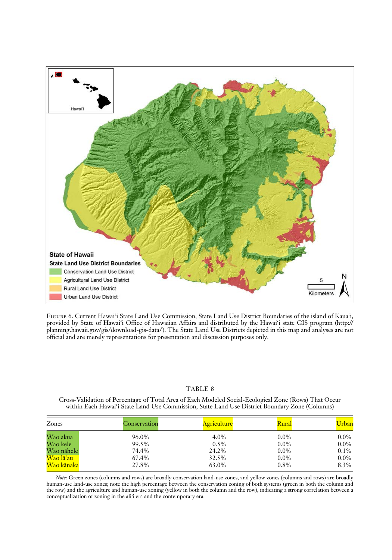

Figure 6. Current Hawai'i State Land Use Commission, State Land Use District Boundaries of the island of Kaua'i, provided by State of Hawai'i Office of Hawaiian Affairs and distributed by the Hawai'i state GIS program (http:// planning.hawaii.gov/gis/download-gis-data/ ). The State Land Use Districts depicted in this map and analyses are not official and are merely representations for presentation and discussion purposes only.

#### TABLE 8

Cross-Validation of Percentage of Total Area of Each Modeled Social-Ecological Zone (Rows) That Occur within Each Hawai'i State Land Use Commission, State Land Use District Boundary Zone (Columns)

| Zones      | Conservation | <u>Agriculture</u> | Rural   | Urban   |
|------------|--------------|--------------------|---------|---------|
| Wao akua   | 96.0%        | 4.0%               | $0.0\%$ | $0.0\%$ |
| Wao kele   | 99.5%        | $0.5\%$            | $0.0\%$ | $0.0\%$ |
| Wao nāhele | 74.4%        | 24.2%              | $0.0\%$ | $0.1\%$ |
| Wao lā'au  | 67.4%        | 32.5%              | $0.0\%$ | $0.0\%$ |
| Wao kānaka | 27.8%        | 63.0%              | 0.8%    | 8.3%    |

*Note:* Green zones (columns and rows) are broadly conservation land-use zones, and yellow zones (columns and rows) are broadly human-use land-use zones; note the high percentage between the conservation zoning of both systems (green in both the column and the row) and the agriculture and human-use zoning (yellow in both the column and the row), indicating a strong correlation between a conceptualization of zoning in the ali'i era and the contemporary era.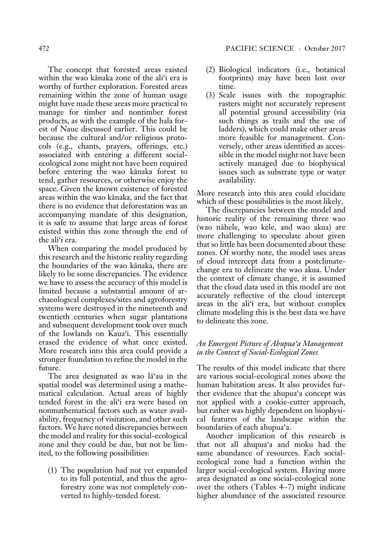The concept that forested areas existed within the wao känaka zone of the ali'i era is worthy of further exploration. Forested areas remaining within the zone of human usage might have made these areas more practical to manage for timber and nontimber forest products, as with the example of the hala forest of Naue discussed earlier. This could be because the cultural and/or religious protocols (e.g., chants, prayers, offerings, etc.) associated with entering a different socialecological zone might not have been required before entering the wao känaka forest to tend, gather resources, or otherwise enjoy the space. Given the known existence of forested areas within the wao känaka, and the fact that there is no evidence that deforestation was an accompanying mandate of this designation, it is safe to assume that large areas of forest existed within this zone through the end of the ali'i era.

When comparing the model produced by this research and the historic reality regarding the boundaries of the wao känaka, there are likely to be some discrepancies. The evidence we have to assess the accuracy of this model is limited because a substantial amount of archaeological complexes/sites and agroforestry systems were destroyed in the nineteenth and twentieth centuries when sugar plantations and subsequent development took over much of the lowlands on Kaua'i. This essentially erased the evidence of what once existed. More research into this area could provide a stronger foundation to refine the model in the future.

The area designated as wao lä'au in the spatial model was determined using a mathematical calculation. Actual areas of highly tended forest in the ali'i era were based on nonmathematical factors such as water availability, frequency of visitation, and other such factors. We have noted discrepancies between the model and reality for this social-ecological zone and they could be due, but not be limited, to the following possibilities:

(1) The population had not yet expanded to its full potential, and thus the agroforestry zone was not completely converted to highly-tended forest.

- (2) Biological indicators (i.e., botanical footprints) may have been lost over time.
- (3) Scale issues with the topographic rasters might not accurately represent all potential ground accessibility (via such things as trails and the use of ladders), which could make other areas more feasible for management. Conversely, other areas identified as accessible in the model might not have been actively managed due to biophysical issues such as substrate type or water availability.

More research into this area could elucidate which of these possibilities is the most likely.

The discrepancies between the model and historic reality of the remaining three wao (wao nähele, wao kele, and wao akua) are more challenging to speculate about given that so little has been documented about these zones. Of worthy note, the model uses areas of cloud intercept data from a postclimatechange era to delineate the wao akua. Under the context of climate change, it is assumed that the cloud data used in this model are not accurately reflective of the cloud intercept areas in the ali'i era, but without complex climate modeling this is the best data we have to delineate this zone.

# *An Emergent Picture of Ahupua'a Management in the Context of Social-Ecological Zones*

The results of this model indicate that there are various social-ecological zones above the human habitation areas. It also provides further evidence that the ahupua'a concept was not applied with a cookie-cutter approach, but rather was highly dependent on biophysical features of the landscape within the boundaries of each ahupua'a.

Another implication of this research is that not all ahupua'a and moku had the same abundance of resources. Each socialecological zone had a function within the larger social-ecological system. Having more area designated as one social-ecological zone over the others (Tables 4–7) might indicate higher abundance of the associated resource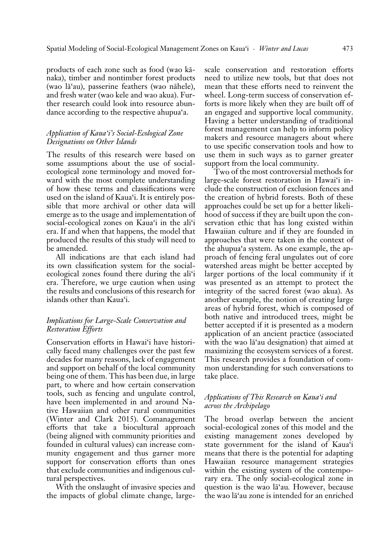products of each zone such as food (wao känaka), timber and nontimber forest products (wao lä'au), passerine feathers (wao nähele), and fresh water (wao kele and wao akua). Further research could look into resource abundance according to the respective ahupua'a.

# *Application of Kaua'i's Social-Ecological Zone Designations on Other Islands*

The results of this research were based on some assumptions about the use of socialecological zone terminology and moved forward with the most complete understanding of how these terms and classifications were used on the island of Kaua'i. It is entirely possible that more archival or other data will emerge as to the usage and implementation of social-ecological zones on Kaua'i in the ali'i era. If and when that happens, the model that produced the results of this study will need to be amended.

All indications are that each island had its own classification system for the socialecological zones found there during the ali'i era. Therefore, we urge caution when using the results and conclusions of this research for islands other than Kaua'i.

# *Implications for Large-Scale Conservation and Restoration Efforts*

Conservation efforts in Hawai'i have historically faced many challenges over the past few decades for many reasons, lack of engagement and support on behalf of the local community being one of them. This has been due, in large part, to where and how certain conservation tools, such as fencing and ungulate control, have been implemented in and around Native Hawaiian and other rural communities (Winter and Clark 2015). Comanagement efforts that take a biocultural approach (being aligned with community priorities and founded in cultural values) can increase community engagement and thus garner more support for conservation efforts than ones that exclude communities and indigenous cultural perspectives.

With the onslaught of invasive species and the impacts of global climate change, large-

scale conservation and restoration efforts need to utilize new tools, but that does not mean that these efforts need to reinvent the wheel. Long-term success of conservation efforts is more likely when they are built off of an engaged and supportive local community. Having a better understanding of traditional forest management can help to inform policy makers and resource managers about where to use specific conservation tools and how to use them in such ways as to garner greater support from the local community.

Two of the most controversial methods for large-scale forest restoration in Hawai'i include the construction of exclusion fences and the creation of hybrid forests. Both of these approaches could be set up for a better likelihood of success if they are built upon the conservation ethic that has long existed within Hawaiian culture and if they are founded in approaches that were taken in the context of the ahupua'a system. As one example, the approach of fencing feral ungulates out of core watershed areas might be better accepted by larger portions of the local community if it was presented as an attempt to protect the integrity of the sacred forest (wao akua). As another example, the notion of creating large areas of hybrid forest, which is composed of both native and introduced trees, might be better accepted if it is presented as a modern application of an ancient practice (associated with the wao lä'au designation) that aimed at maximizing the ecosystem services of a forest. This research provides a foundation of common understanding for such conversations to take place.

### *Applications of This Research on Kaua'i and across the Archipelago*

The broad overlap between the ancient social-ecological zones of this model and the existing management zones developed by state government for the island of Kaua'i means that there is the potential for adapting Hawaiian resource management strategies within the existing system of the contemporary era. The only social-ecological zone in question is the wao lä'au*.* However, because the wao lä'au zone is intended for an enriched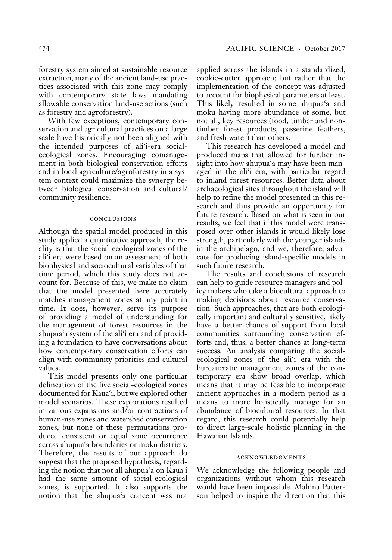forestry system aimed at sustainable resource extraction, many of the ancient land-use practices associated with this zone may comply with contemporary state laws mandating allowable conservation land-use actions (such as forestry and agroforestry).

With few exceptions, contemporary conservation and agricultural practices on a large scale have historically not been aligned with the intended purposes of ali'i-era socialecological zones. Encouraging comanagement in both biological conservation efforts and in local agriculture/agroforestry in a system context could maximize the synergy between biological conservation and cultural/ community resilience.

#### conclusions

Although the spatial model produced in this study applied a quantitative approach, the reality is that the social-ecological zones of the ali'i era were based on an assessment of both biophysical and sociocultural variables of that time period, which this study does not account for. Because of this, we make no claim that the model presented here accurately matches management zones at any point in time. It does, however, serve its purpose of providing a model of understanding for the management of forest resources in the ahupua'a system of the ali'i era and of providing a foundation to have conversations about how contemporary conservation efforts can align with community priorities and cultural values.

This model presents only one particular delineation of the five social-ecological zones documented for Kaua'i, but we explored other model scenarios. These explorations resulted in various expansions and/or contractions of human-use zones and watershed conservation zones, but none of these permutations produced consistent or equal zone occurrence across ahupua'a boundaries or moku districts. Therefore, the results of our approach do suggest that the proposed hypothesis, regarding the notion that not all ahupua'a on Kaua'i had the same amount of social-ecological zones, is supported. It also supports the notion that the ahupua'a concept was not applied across the islands in a standardized, cookie-cutter approach; but rather that the implementation of the concept was adjusted to account for biophysical parameters at least. This likely resulted in some ahupua'a and moku having more abundance of some, but not all, key resources (food, timber and nontimber forest products, passerine feathers, and fresh water) than others.

This research has developed a model and produced maps that allowed for further insight into how ahupua'a may have been managed in the ali'i era, with particular regard to inland forest resources. Better data about archaeological sites throughout the island will help to refine the model presented in this research and thus provide an opportunity for future research. Based on what is seen in our results, we feel that if this model were transposed over other islands it would likely lose strength, particularly with the younger islands in the archipelago, and we, therefore, advocate for producing island-specific models in such future research.

The results and conclusions of research can help to guide resource managers and policy makers who take a biocultural approach to making decisions about resource conservation. Such approaches, that are both ecologically important and culturally sensitive, likely have a better chance of support from local communities surrounding conservation efforts and, thus, a better chance at long-term success. An analysis comparing the socialecological zones of the ali'i era with the bureaucratic management zones of the contemporary era show broad overlap, which means that it may be feasible to incorporate ancient approaches in a modern period as a means to more holistically manage for an abundance of biocultural resources. In that regard, this research could potentially help to direct large-scale holistic planning in the Hawaiian Islands.

#### acknowledgments

We acknowledge the following people and organizations without whom this research would have been impossible. Mahina Patterson helped to inspire the direction that this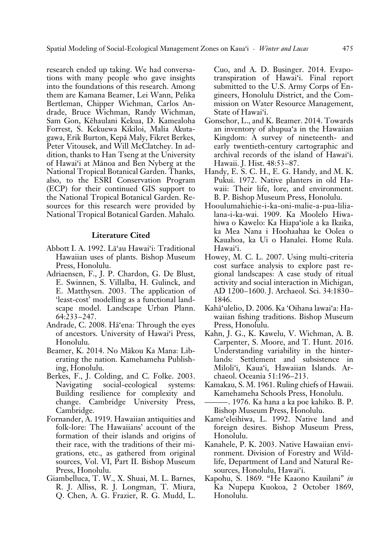research ended up taking. We had conversations with many people who gave insights into the foundations of this research. Among them are Kamana Beamer, Lei Wann, Pelika Bertleman, Chipper Wichman, Carlos Andrade, Bruce Wichman, Randy Wichman, Sam Gon, Këhaulani Kekua, D. Kamealoha Forrest, S. Kekuewa Kikiloi, Malia Akutagawa, Erik Burton, Kepä Maly, Fikret Berkes, Peter Vitousek, and Will McClatchey. In addition, thanks to Han Tseng at the University of Hawai'i at Mänoa and Ben Nyberg at the National Tropical Botanical Garden. Thanks, also, to the ESRI Conservation Program (ECP) for their continued GIS support to the National Tropical Botanical Garden. Resources for this research were provided by National Tropical Botanical Garden. Mahalo*.*

### **Literature Cited**

- Abbott I. A. 1992. Lä'au Hawai'i: Traditional Hawaiian uses of plants. Bishop Museum Press, Honolulu.
- Adriaensen, F., J. P. Chardon, G. De Blust, E. Swinnen, S. Villalba, H. Gulinck, and E. Matthysen. 2003. The application of 'least-cost' modelling as a functional landscape model. Landscape Urban Plann. 64:233–247.
- Andrade, C. 2008. Hä'ena: Through the eyes of ancestors. University of Hawai'i Press, Honolulu.
- Beamer, K. 2014. No Mäkou Ka Mana: Liberating the nation. Kamehameha Publishing, Honolulu.
- Berkes, F., J. Colding, and C. Folke. 2003. Navigating social-ecological systems: Building resilience for complexity and change. Cambridge University Press, Cambridge.
- Fornander, A. 1919. Hawaiian antiquities and folk-lore: The Hawaiians' account of the formation of their islands and origins of their race, with the traditions of their migrations, etc., as gathered from original sources, Vol. VI, Part II. Bishop Museum Press, Honolulu.
- Giambelluca, T. W., X. Shuai, M. L. Barnes, R. J. Alliss, R. J. Longman, T. Miura, Q. Chen, A. G. Frazier, R. G. Mudd, L.

Cuo, and A. D. Businger. 2014. Evapotranspiration of Hawai'i. Final report submitted to the U.S. Army Corps of Engineers, Honolulu District, and the Commission on Water Resource Management, State of Hawai'i.

- Gonschor, L., and K. Beamer. 2014. Towards an inventory of ahupua'a in the Hawaiian Kingdom: A survey of nineteenth- and early twentieth-century cartographic and archival records of the island of Hawai'i. Hawaii. J. Hist. 48:53–87.
- Handy, E. S. C. H., E. G. Handy, and M. K. Pukui. 1972. Native planters in old Hawaii: Their life, lore, and environment. B. P. Bishop Museum Press, Honolulu.
- Hooulumahiehie-i-ka-oni-malie-a-pua-lilialana-i-ka-wai. 1909. Ka Moolelo Hiwahiwa o Kawelo: Ka Hiapa'iole a ka Ikaika, ka Mea Nana i Hoohaahaa ke Oolea o Kauahoa, ka Ui o Hanalei. Home Rula. Hawai'i.
- Howey, M. C. L. 2007. Using multi-criteria cost surface analysis to explore past regional landscapes: A case study of ritual activity and social interaction in Michigan, AD 1200–1600. J. Archaeol. Sci. 34:1830– 1846.
- Kahä'ulelio, D. 2006. Ka 'Oihana lawai'a: Hawaiian fishing traditions. Bishop Museum Press, Honolulu.
- Kahn, J. G., K. Kawelu, V. Wichman, A. B. Carpenter, S. Moore, and T. Hunt. 2016. Understanding variability in the hinterlands: Settlement and subsistence in Miloli'i, Kaua'i, Hawaiian Islands. Archaeol. Oceania 51:196–213.
- Kamakau, S. M. 1961. Ruling chiefs of Hawaii. Kamehameha Schools Press, Honolulu.
- ———. 1976. Ka hana a ka poe kahiko. B. P. Bishop Museum Press, Honolulu.
- Kame'eleihiwa, L. 1992. Native land and foreign desires. Bishop Museum Press, Honolulu.
- Kanahele, P. K. 2003. Native Hawaiian environment. Division of Forestry and Wildlife, Department of Land and Natural Resources, Honolulu, Hawai'i.
- Kapohu, S. 1869. "He Kaaono Kauilani" *in* Ka Nupepa Kuokoa, 2 October 1869, Honolulu.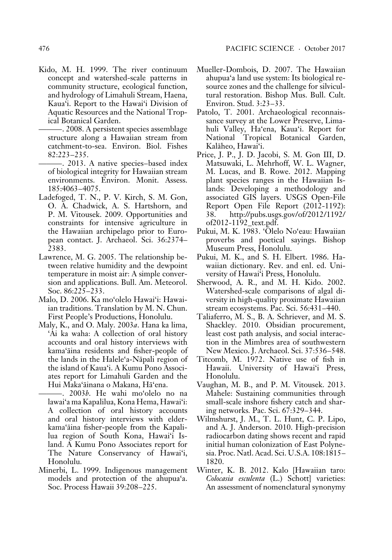- Kido, M. H. 1999. The river continuum concept and watershed-scale patterns in community structure, ecological function, and hydrology of Limahuli Stream, Haena, Kaua'i. Report to the Hawai'i Division of Aquatic Resources and the National Tropical Botanical Garden.
	- ———. 2008. A persistent species assemblage structure along a Hawaiian stream from catchment-to-sea. Environ. Biol. Fishes 82:223–235.
	- ———. 2013. A native species–based index of biological integrity for Hawaiian stream environments. Environ. Monit. Assess. 185:4063–4075.
- Ladefoged, T. N., P. V. Kirch, S. M. Gon, O. A. Chadwick, A. S. Hartshorn, and P. M. Vitousek. 2009. Opportunities and constraints for intensive agriculture in the Hawaiian archipelago prior to European contact. J. Archaeol. Sci. 36:2374– 2383.
- Lawrence, M. G. 2005. The relationship between relative humidity and the dewpoint temperature in moist air: A simple conversion and applications. Bull. Am. Meteorol. Soc. 86:225–233.
- Malo, D. 2006. Ka mo'olelo Hawai'i: Hawaiian traditions. Translation by M. N. Chun. First People's Productions, Honolulu.
- Maly, K., and O. Maly. 2003*a*. Hana ka lima, 'Ai ka waha: A collection of oral history accounts and oral history interviews with kama'äina residents and fisher-people of the lands in the Halele'a-Näpali region of the island of Kaua'i. A Kumu Pono Associates report for Limahuli Garden and the Hui Maka'äinana o Makana, Hä'ena.
	- ———. 2003*b*. He wahi mo'olelo no na lawai'a ma Kapalilua, Kona Hema, Hawai'i: A collection of oral history accounts and oral history interviews with elderkama'äina fisher-people from the Kapalilua region of South Kona, Hawai'i Island. A Kumu Pono Associates report for The Nature Conservancy of Hawai'i, Honolulu.
- Minerbi, L. 1999. Indigenous management models and protection of the ahupua'a. Soc. Process Hawaii 39:208–225.
- Mueller-Dombois, D. 2007. The Hawaiian ahupua'a land use system: Its biological resource zones and the challenge for silvicultural restoration. Bishop Mus. Bull. Cult. Environ. Stud. 3:23–33.
- Patolo, T. 2001. Archaeological reconnaissance survey at the Lower Preserve, Limahuli Valley, Ha'ena, Kaua'i. Report for National Tropical Botanical Garden, Kaläheo, Hawai'i.
- Price, J. P., J. D. Jacobi, S. M. Gon III, D. Matsuwaki, L. Mehrhoff, W. L. Wagner, M. Lucas, and B. Rowe. 2012. Mapping plant species ranges in the Hawaiian Islands: Developing a methodology and associated GIS layers. USGS Open-File Report Open File Report (2012-1192): 38. http://pubs.usgs.gov/of/2012/1192/ of2012-1192\_text.pdf.
- Pukui, M. K. 1983. 'Ölelo No'eau: Hawaiian proverbs and poetical sayings. Bishop Museum Press, Honolulu.
- Pukui, M. K., and S. H. Elbert. 1986. Hawaiian dictionary. Rev. and enl. ed. University of Hawai'i Press, Honolulu.
- Sherwood, A. R., and M. H. Kido. 2002. Watershed-scale comparisons of algal diversity in high-quality proximate Hawaiian stream ecosystems. Pac. Sci. 56:431–440.
- Taliaferro, M. S., B. A. Schriever, and M. S. Shackley. 2010. Obsidian procurement, least cost path analysis, and social interaction in the Mimbres area of southwestern New Mexico. J. Archaeol. Sci. 37:536–548.
- Titcomb, M. 1972. Native use of fish in Hawaii. University of Hawai'i Press, Honolulu.
- Vaughan, M. B., and P. M. Vitousek. 2013. Mahele: Sustaining communities through small-scale inshore fishery catch and sharing networks*.* Pac. Sci. 67:329–344.
- Wilmshurst, J. M., T. L. Hunt, C. P. Lipo, and A. J. Anderson. 2010. High-precision radiocarbon dating shows recent and rapid initial human colonization of East Polynesia. Proc. Natl. Acad. Sci. U.S.A. 108:1815– 1820.
- Winter, K. B. 2012. Kalo [Hawaiian taro: *Colocasia esculenta* (L.) Schott] varieties: An assessment of nomenclatural synonymy